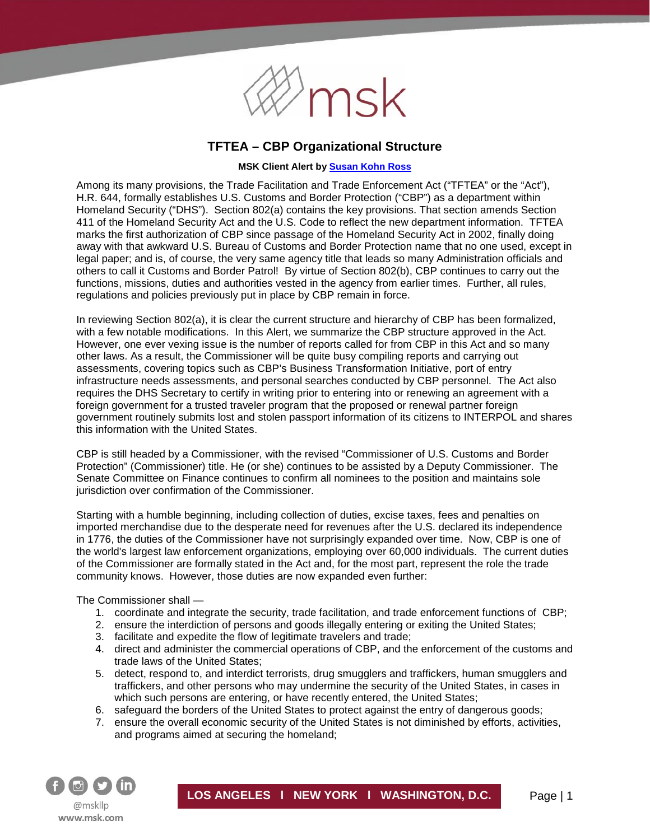

# **TFTEA – CBP Organizational Structure**

## **MSK Client Alert b[y Susan Kohn Ross](http://www.msk.com/attorneys-SusanKohn_Ross)**

Among its many provisions, the Trade Facilitation and Trade Enforcement Act ("TFTEA" or the "Act"), H.R. 644, formally establishes U.S. Customs and Border Protection ("CBP") as a department within Homeland Security ("DHS"). Section 802(a) contains the key provisions. That section amends Section 411 of the Homeland Security Act and the U.S. Code to reflect the new department information. TFTEA marks the first authorization of CBP since passage of the Homeland Security Act in 2002, finally doing away with that awkward U.S. Bureau of Customs and Border Protection name that no one used, except in legal paper; and is, of course, the very same agency title that leads so many Administration officials and others to call it Customs and Border Patrol! By virtue of Section 802(b), CBP continues to carry out the functions, missions, duties and authorities vested in the agency from earlier times. Further, all rules, regulations and policies previously put in place by CBP remain in force.

In reviewing Section 802(a), it is clear the current structure and hierarchy of CBP has been formalized, with a few notable modifications. In this Alert, we summarize the CBP structure approved in the Act. However, one ever vexing issue is the number of reports called for from CBP in this Act and so many other laws. As a result, the Commissioner will be quite busy compiling reports and carrying out assessments, covering topics such as CBP's Business Transformation Initiative, port of entry infrastructure needs assessments, and personal searches conducted by CBP personnel. The Act also requires the DHS Secretary to certify in writing prior to entering into or renewing an agreement with a foreign government for a trusted traveler program that the proposed or renewal partner foreign government routinely submits lost and stolen passport information of its citizens to INTERPOL and shares this information with the United States.

CBP is still headed by a Commissioner, with the revised "Commissioner of U.S. Customs and Border Protection" (Commissioner) title. He (or she) continues to be assisted by a Deputy Commissioner. The Senate Committee on Finance continues to confirm all nominees to the position and maintains sole jurisdiction over confirmation of the Commissioner.

Starting with a humble beginning, including collection of duties, excise taxes, fees and penalties on imported merchandise due to the desperate need for revenues after the U.S. declared its independence in 1776, the duties of the Commissioner have not surprisingly expanded over time. Now, CBP is one of the world's largest law enforcement organizations, employing over 60,000 individuals. The current duties of the Commissioner are formally stated in the Act and, for the most part, represent the role the trade community knows. However, those duties are now expanded even further:

The Commissioner shall —

- 1. coordinate and integrate the security, trade facilitation, and trade enforcement functions of CBP;
- 2. ensure the interdiction of persons and goods illegally entering or exiting the United States;
- 3. facilitate and expedite the flow of legitimate travelers and trade;
- 4. direct and administer the commercial operations of CBP, and the enforcement of the customs and trade laws of the United States;
- 5. detect, respond to, and interdict terrorists, drug smugglers and traffickers, human smugglers and traffickers, and other persons who may undermine the security of the United States, in cases in which such persons are entering, or have recently entered, the United States;
- 6. safeguard the borders of the United States to protect against the entry of dangerous goods;
- 7. ensure the overall economic security of the United States is not diminished by efforts, activities, and programs aimed at securing the homeland;

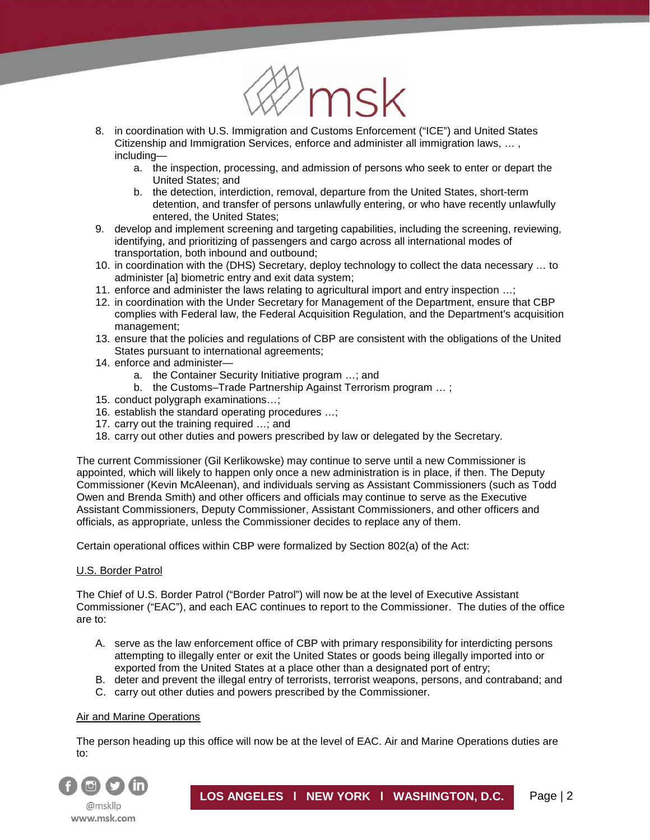

- 8. in coordination with U.S. Immigration and Customs Enforcement ("ICE") and United States Citizenship and Immigration Services, enforce and administer all immigration laws, … , including
	- a. the inspection, processing, and admission of persons who seek to enter or depart the United States; and
	- b. the detection, interdiction, removal, departure from the United States, short-term detention, and transfer of persons unlawfully entering, or who have recently unlawfully entered, the United States;
- 9. develop and implement screening and targeting capabilities, including the screening, reviewing, identifying, and prioritizing of passengers and cargo across all international modes of transportation, both inbound and outbound;
- 10. in coordination with the (DHS) Secretary, deploy technology to collect the data necessary … to administer [a] biometric entry and exit data system;
- 11. enforce and administer the laws relating to agricultural import and entry inspection …;
- 12. in coordination with the Under Secretary for Management of the Department, ensure that CBP complies with Federal law, the Federal Acquisition Regulation, and the Department's acquisition management;
- 13. ensure that the policies and regulations of CBP are consistent with the obligations of the United States pursuant to international agreements;
- 14. enforce and administer
	- a. the Container Security Initiative program …; and
	- b. the Customs–Trade Partnership Against Terrorism program ...;
- 15. conduct polygraph examinations…;
- 16. establish the standard operating procedures …;
- 17. carry out the training required ...; and
- 18. carry out other duties and powers prescribed by law or delegated by the Secretary.

The current Commissioner (Gil Kerlikowske) may continue to serve until a new Commissioner is appointed, which will likely to happen only once a new administration is in place, if then. The Deputy Commissioner (Kevin McAleenan), and individuals serving as Assistant Commissioners (such as Todd Owen and Brenda Smith) and other officers and officials may continue to serve as the Executive Assistant Commissioners, Deputy Commissioner, Assistant Commissioners, and other officers and officials, as appropriate, unless the Commissioner decides to replace any of them.

Certain operational offices within CBP were formalized by Section 802(a) of the Act:

## U.S. Border Patrol

í

The Chief of U.S. Border Patrol ("Border Patrol") will now be at the level of Executive Assistant Commissioner ("EAC"), and each EAC continues to report to the Commissioner. The duties of the office are to:

- A. serve as the law enforcement office of CBP with primary responsibility for interdicting persons attempting to illegally enter or exit the United States or goods being illegally imported into or exported from the United States at a place other than a designated port of entry;
- B. deter and prevent the illegal entry of terrorists, terrorist weapons, persons, and contraband; and
- C. carry out other duties and powers prescribed by the Commissioner.

## Air and Marine Operations

The person heading up this office will now be at the level of EAC. Air and Marine Operations duties are to:

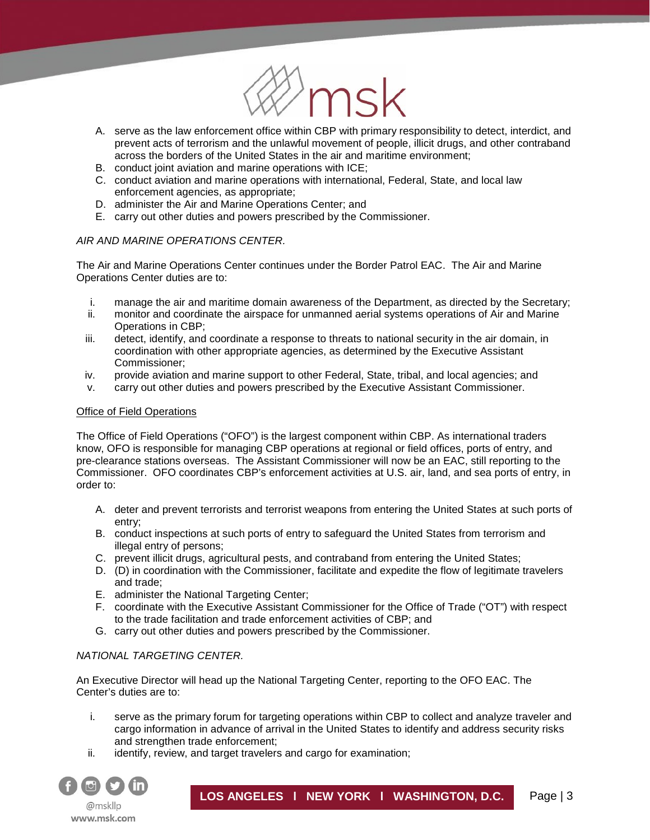

- A. serve as the law enforcement office within CBP with primary responsibility to detect, interdict, and prevent acts of terrorism and the unlawful movement of people, illicit drugs, and other contraband across the borders of the United States in the air and maritime environment;
- B. conduct joint aviation and marine operations with ICE;
- C. conduct aviation and marine operations with international, Federal, State, and local law enforcement agencies, as appropriate;
- D. administer the Air and Marine Operations Center; and
- E. carry out other duties and powers prescribed by the Commissioner.

## *AIR AND MARINE OPERATIONS CENTER.*

The Air and Marine Operations Center continues under the Border Patrol EAC. The Air and Marine Operations Center duties are to:

- i. manage the air and maritime domain awareness of the Department, as directed by the Secretary;
- ii. monitor and coordinate the airspace for unmanned aerial systems operations of Air and Marine Operations in CBP;
- iii. detect, identify, and coordinate a response to threats to national security in the air domain, in coordination with other appropriate agencies, as determined by the Executive Assistant Commissioner;
- iv. provide aviation and marine support to other Federal, State, tribal, and local agencies; and
- v. carry out other duties and powers prescribed by the Executive Assistant Commissioner.

## Office of Field Operations

í

The Office of Field Operations ("OFO") is the largest component within CBP. As international traders know, OFO is responsible for managing CBP operations at regional or field offices, ports of entry, and pre-clearance stations overseas. The Assistant Commissioner will now be an EAC, still reporting to the Commissioner. OFO coordinates CBP's enforcement activities at U.S. air, land, and sea ports of entry, in order to:

- A. deter and prevent terrorists and terrorist weapons from entering the United States at such ports of entry;
- B. conduct inspections at such ports of entry to safeguard the United States from terrorism and illegal entry of persons;
- C. prevent illicit drugs, agricultural pests, and contraband from entering the United States;
- D. (D) in coordination with the Commissioner, facilitate and expedite the flow of legitimate travelers and trade;
- E. administer the National Targeting Center;
- F. coordinate with the Executive Assistant Commissioner for the Office of Trade ("OT") with respect to the trade facilitation and trade enforcement activities of CBP; and
- G. carry out other duties and powers prescribed by the Commissioner.

## *NATIONAL TARGETING CENTER.*

An Executive Director will head up the National Targeting Center, reporting to the OFO EAC. The Center's duties are to:

- i. serve as the primary forum for targeting operations within CBP to collect and analyze traveler and cargo information in advance of arrival in the United States to identify and address security risks and strengthen trade enforcement;
- ii. identify, review, and target travelers and cargo for examination;

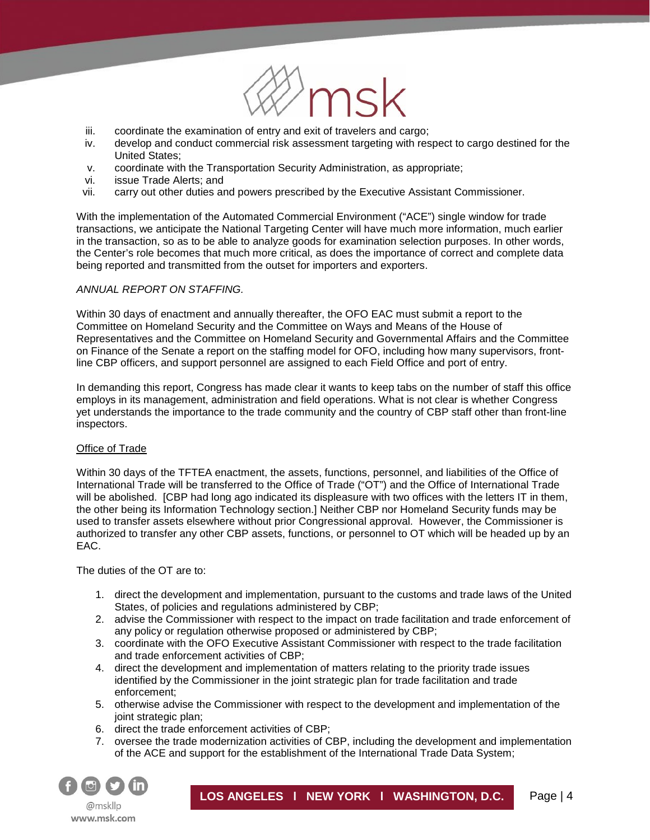

- iii. coordinate the examination of entry and exit of travelers and cargo;
- iv. develop and conduct commercial risk assessment targeting with respect to cargo destined for the United States;
- v. coordinate with the Transportation Security Administration, as appropriate;
- vi. issue Trade Alerts; and<br>vii. carry out other duties ar

í

carry out other duties and powers prescribed by the Executive Assistant Commissioner.

With the implementation of the Automated Commercial Environment ("ACE") single window for trade transactions, we anticipate the National Targeting Center will have much more information, much earlier in the transaction, so as to be able to analyze goods for examination selection purposes. In other words, the Center's role becomes that much more critical, as does the importance of correct and complete data being reported and transmitted from the outset for importers and exporters.

#### *ANNUAL REPORT ON STAFFING.*

Within 30 days of enactment and annually thereafter, the OFO EAC must submit a report to the Committee on Homeland Security and the Committee on Ways and Means of the House of Representatives and the Committee on Homeland Security and Governmental Affairs and the Committee on Finance of the Senate a report on the staffing model for OFO, including how many supervisors, frontline CBP officers, and support personnel are assigned to each Field Office and port of entry.

In demanding this report, Congress has made clear it wants to keep tabs on the number of staff this office employs in its management, administration and field operations. What is not clear is whether Congress yet understands the importance to the trade community and the country of CBP staff other than front-line inspectors.

#### Office of Trade

Within 30 days of the TFTEA enactment, the assets, functions, personnel, and liabilities of the Office of International Trade will be transferred to the Office of Trade ("OT") and the Office of International Trade will be abolished. [CBP had long ago indicated its displeasure with two offices with the letters IT in them, the other being its Information Technology section.] Neither CBP nor Homeland Security funds may be used to transfer assets elsewhere without prior Congressional approval. However, the Commissioner is authorized to transfer any other CBP assets, functions, or personnel to OT which will be headed up by an EAC.

The duties of the OT are to:

- 1. direct the development and implementation, pursuant to the customs and trade laws of the United States, of policies and regulations administered by CBP;
- 2. advise the Commissioner with respect to the impact on trade facilitation and trade enforcement of any policy or regulation otherwise proposed or administered by CBP;
- 3. coordinate with the OFO Executive Assistant Commissioner with respect to the trade facilitation and trade enforcement activities of CBP;
- 4. direct the development and implementation of matters relating to the priority trade issues identified by the Commissioner in the joint strategic plan for trade facilitation and trade enforcement;
- 5. otherwise advise the Commissioner with respect to the development and implementation of the joint strategic plan;
- 6. direct the trade enforcement activities of CBP;
- 7. oversee the trade modernization activities of CBP, including the development and implementation of the ACE and support for the establishment of the International Trade Data System;

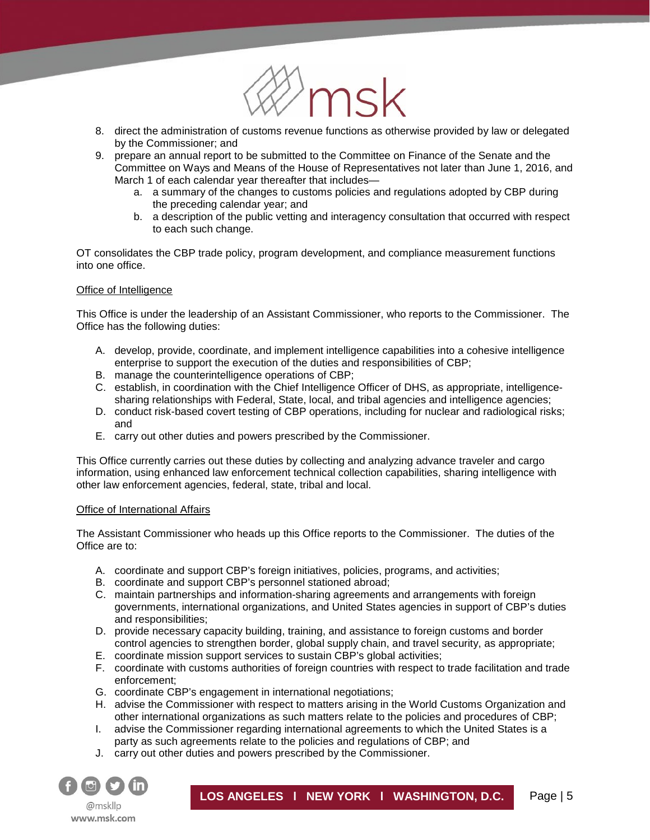

- 8. direct the administration of customs revenue functions as otherwise provided by law or delegated by the Commissioner; and
- 9. prepare an annual report to be submitted to the Committee on Finance of the Senate and the Committee on Ways and Means of the House of Representatives not later than June 1, 2016, and March 1 of each calendar year thereafter that includes
	- a. a summary of the changes to customs policies and regulations adopted by CBP during the preceding calendar year; and
	- b. a description of the public vetting and interagency consultation that occurred with respect to each such change.

OT consolidates the CBP trade policy, program development, and compliance measurement functions into one office.

#### Office of Intelligence

í

This Office is under the leadership of an Assistant Commissioner, who reports to the Commissioner. The Office has the following duties:

- A. develop, provide, coordinate, and implement intelligence capabilities into a cohesive intelligence enterprise to support the execution of the duties and responsibilities of CBP;
- B. manage the counterintelligence operations of CBP;
- C. establish, in coordination with the Chief Intelligence Officer of DHS, as appropriate, intelligencesharing relationships with Federal, State, local, and tribal agencies and intelligence agencies;
- D. conduct risk-based covert testing of CBP operations, including for nuclear and radiological risks; and
- E. carry out other duties and powers prescribed by the Commissioner.

This Office currently carries out these duties by collecting and analyzing advance traveler and cargo information, using enhanced law enforcement technical collection capabilities, sharing intelligence with other law enforcement agencies, federal, state, tribal and local.

#### Office of International Affairs

The Assistant Commissioner who heads up this Office reports to the Commissioner. The duties of the Office are to:

- A. coordinate and support CBP's foreign initiatives, policies, programs, and activities;
- B. coordinate and support CBP's personnel stationed abroad;
- C. maintain partnerships and information-sharing agreements and arrangements with foreign governments, international organizations, and United States agencies in support of CBP's duties and responsibilities;
- D. provide necessary capacity building, training, and assistance to foreign customs and border control agencies to strengthen border, global supply chain, and travel security, as appropriate;
- E. coordinate mission support services to sustain CBP's global activities;
- F. coordinate with customs authorities of foreign countries with respect to trade facilitation and trade enforcement;
- G. coordinate CBP's engagement in international negotiations;
- H. advise the Commissioner with respect to matters arising in the World Customs Organization and other international organizations as such matters relate to the policies and procedures of CBP;
- I. advise the Commissioner regarding international agreements to which the United States is a party as such agreements relate to the policies and regulations of CBP; and
- J. carry out other duties and powers prescribed by the Commissioner.

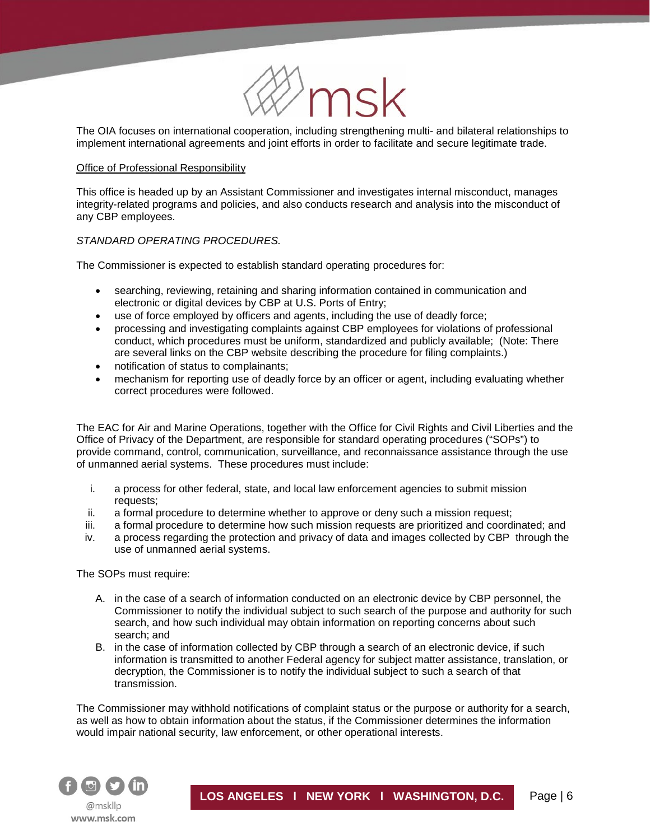

The OIA focuses on international cooperation, including strengthening multi- and bilateral relationships to implement international agreements and joint efforts in order to facilitate and secure legitimate trade.

#### Office of Professional Responsibility

í

This office is headed up by an Assistant Commissioner and investigates internal misconduct, manages integrity-related programs and policies, and also conducts research and analysis into the misconduct of any CBP employees.

## *STANDARD OPERATING PROCEDURES.*

The Commissioner is expected to establish standard operating procedures for:

- searching, reviewing, retaining and sharing information contained in communication and electronic or digital devices by CBP at U.S. Ports of Entry;
- use of force employed by officers and agents, including the use of deadly force;
- processing and investigating complaints against CBP employees for violations of professional conduct, which procedures must be uniform, standardized and publicly available; (Note: There are several links on the CBP website describing the procedure for filing complaints.)
- notification of status to complainants;
- mechanism for reporting use of deadly force by an officer or agent, including evaluating whether correct procedures were followed.

The EAC for Air and Marine Operations, together with the Office for Civil Rights and Civil Liberties and the Office of Privacy of the Department, are responsible for standard operating procedures ("SOPs") to provide command, control, communication, surveillance, and reconnaissance assistance through the use of unmanned aerial systems. These procedures must include:

- i. a process for other federal, state, and local law enforcement agencies to submit mission requests;
- ii. a formal procedure to determine whether to approve or deny such a mission request;
- iii. a formal procedure to determine how such mission requests are prioritized and coordinated; and
- iv. a process regarding the protection and privacy of data and images collected by CBP through the use of unmanned aerial systems.

The SOPs must require:

- A. in the case of a search of information conducted on an electronic device by CBP personnel, the Commissioner to notify the individual subject to such search of the purpose and authority for such search, and how such individual may obtain information on reporting concerns about such search; and
- B. in the case of information collected by CBP through a search of an electronic device, if such information is transmitted to another Federal agency for subject matter assistance, translation, or decryption, the Commissioner is to notify the individual subject to such a search of that transmission.

The Commissioner may withhold notifications of complaint status or the purpose or authority for a search, as well as how to obtain information about the status, if the Commissioner determines the information would impair national security, law enforcement, or other operational interests.